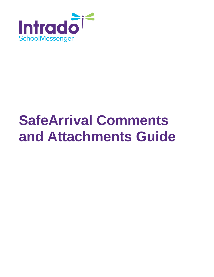

# **SafeArrival Comments and Attachments Guide**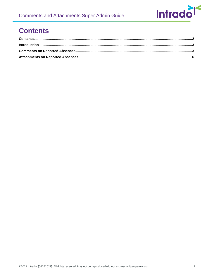# <span id="page-1-0"></span>**Contents**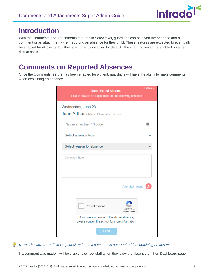

### <span id="page-2-0"></span>**Introduction**

With the Comments and Attachments features in SafeArrival, guardians can be given the option to add a comment or an attachment when reporting an absence for their child. These features are expected to eventually be enabled for all clients, but they are currently disabled by default. They can, however, be enabled on a per district basis.

### <span id="page-2-1"></span>**Comments on Reported Absences**

Once the Comments feature has been enabled for a client, guardians will have the ability to make comments when explaining an absence.



#### *Note: The Comment field is optional and thus a comment is not required for submitting an absence.*

If a comment was made it will be visible to school staff when they view the absence on their Dashboard page.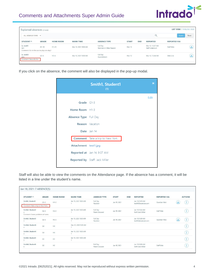

| Explained absences (2 total)                |              |                  |                      |                                      |              |            |                                     | <b>LIST VIEW   TIMELINE VIEW</b> |       |
|---------------------------------------------|--------------|------------------|----------------------|--------------------------------------|--------------|------------|-------------------------------------|----------------------------------|-------|
| ALL ABSENCE TYPES V                         |              |                  |                      |                                      |              |            | Q                                   | Search                           | Reset |
| STUDENT ^                                   | <b>GRADE</b> | <b>HOME ROOM</b> | <b>MARK TIME</b>     | <b>ABSENCE TYPE</b>                  | <b>START</b> | <b>END</b> | <b>REPORTED</b>                     | <b>REPORTED VIA</b>              |       |
| Li, Jack01<br>M01                           | $G1 - 18$    | $H1 - 23$        | Mar 12, 2021 9:30 AM | Full Day<br>Personal or Other Reason | Mar 12       |            | Mar 12, 12:27 AM<br>Staff: mderouin | Staff Web                        | بللج  |
| Comment: Go to the zoo to play one day!!    |              |                  |                      |                                      |              |            |                                     |                                  |       |
| Li, Jack03<br>M03<br>Comment: See a doctor. | $G3-A$       | $H3-A$           | Mar 12, 2021 9:30 AM | Full Day<br>Appointment              | Mar 12       |            | Mar 12, 12:24 AM                    | Web Link                         | 也     |

If you click on the absence, the comment will also be displayed in the pop-up modal.

|                       | Smith1, Student1<br>(1)                 | ×    |
|-----------------------|-----------------------------------------|------|
|                       |                                         | Edit |
| Grade G1-3            |                                         |      |
| Home Room H1-3        |                                         |      |
| Absence Type Full Day |                                         |      |
|                       | Reason Vacation                         |      |
|                       | Date Jan 14                             |      |
|                       | <b>Comment</b> Take a trip to New York. |      |
| Attachment test1.jpg  |                                         |      |
|                       | Reported at Jan 14, 9:07 AM             |      |
|                       | Reported by Staff: Jack Miller          |      |
|                       |                                         |      |

Staff will also be able to view the comments on the Attendance page. If the absence has a comment, it will be listed in a line under the student's name.

| STUDENT ^                         | <b>GRADE</b>   | <b>HOME ROOM</b> | <b>MARK TIME</b>     | <b>ABSENCE TYPE</b>        | <b>START</b> | <b>END</b> | <b>REPORTED</b>                       | <b>REPORTED VIA</b> |      | <b>ACTIONS</b> |
|-----------------------------------|----------------|------------------|----------------------|----------------------------|--------------|------------|---------------------------------------|---------------------|------|----------------|
| Smith1, Student1                  | $G1-3$         | $H1-3$           | Jan 18, 2021 9:00 AM | Full Day<br>Vacation       | Jan 18, 2021 |            | Jan 18, 9:19 AM<br>test94@example.com | Guardian Web        |      | Œ              |
| Comment: Take a trip to New York. |                |                  |                      |                            |              |            |                                       |                     |      |                |
| Smith2, Student2                  | $G2-3$         | $H2-3$           | Jan 18, 2021 9:00 AM | Full Day<br>Parent Excused | Jan 18, 2021 |            | Jan 18, 9:34 AM<br>Staff: Jack Miller | Staff Web           |      |                |
| Comment: Some problems at home.   |                |                  |                      |                            |              |            |                                       |                     |      |                |
| Smith3. Student3<br>3             | $G3 - 3$       | $H3-3$           | Jan 18, 2021 9:00 AM | Full Day<br>Vacation       | Jan 18, 2021 |            | Jan 18, 9:30 AM<br>test92@example.com | Guardian Web        | باير | Œ              |
| Smith4, Student4                  | G4             | H4               | Dec 21, 2020 9:00 AM |                            |              |            |                                       |                     |      |                |
| Smith4, Student4                  | G4             | H4               | Jan 18, 2021 9:00 AM |                            |              |            |                                       |                     |      |                |
| Smith5, Student5                  | G <sub>5</sub> | H5               | Jan 18, 2021 9:00 AM |                            |              |            |                                       |                     |      | я              |
| Smith6, Student6<br>$\mathbf{h}$  | G6             | H6               |                      | Full Day<br>Parent Excused | Jan 18, 2021 |            | Jan 18, 9:26 AM<br>Staff: Jack Miller | Staff Web           |      |                |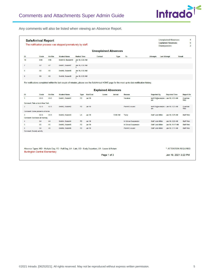

Any comments will also be listed when viewing an Absence Report.

|                                      |                                              |                 |                     |                                         |               | <b>Unexplained Absences</b> |          |                                                                                                                                                   |                    |                                   |                   |
|--------------------------------------|----------------------------------------------|-----------------|---------------------|-----------------------------------------|---------------|-----------------------------|----------|---------------------------------------------------------------------------------------------------------------------------------------------------|--------------------|-----------------------------------|-------------------|
| ID                                   | Grade                                        | <b>Hm Rm</b>    | <b>Student Name</b> | <b>Marked Time</b>                      |               | Contact                     | Type     | To                                                                                                                                                | <b>Attempts</b>    | <b>Last Attempt</b>               | <b>Result</b>     |
| 10                                   | G10                                          | H <sub>10</sub> | Smith10, Student10  | Jan 19, 9:30 AM<br>1                    |               |                             |          |                                                                                                                                                   |                    |                                   |                   |
| 7                                    | G7                                           | H7              | Smith7, Student7    | Jan 19, 9:30 AM<br>$\mathbf{1}$         |               |                             |          |                                                                                                                                                   |                    |                                   |                   |
| 8                                    | G8                                           | H8              | Smith8, Student8    | Jan 19, 9:30 AM<br>$\ddot{\phantom{1}}$ |               |                             |          |                                                                                                                                                   |                    |                                   |                   |
| $\overline{9}$                       | G9                                           | H9              | Smith9, Student9    | Jan 19, 9:30 AM<br>1                    |               |                             |          |                                                                                                                                                   |                    |                                   |                   |
|                                      |                                              |                 |                     |                                         |               |                             |          | For notifications completed within the last couple of minutes, please see the SafeArrival HOME page for the most up-to-date notification history. |                    |                                   |                   |
|                                      |                                              |                 |                     |                                         |               |                             |          |                                                                                                                                                   |                    |                                   |                   |
|                                      |                                              |                 |                     |                                         |               | <b>Explained Absences</b>   |          |                                                                                                                                                   |                    |                                   |                   |
|                                      |                                              |                 |                     |                                         |               |                             |          |                                                                                                                                                   |                    |                                   |                   |
| ID                                   | Grade                                        | <b>Hm Rm</b>    | <b>Student Name</b> | <b>Type</b>                             | Start/End     | Leave                       | Arrival  | Reason                                                                                                                                            | <b>Reported By</b> | <b>Reported Time</b>              | <b>Report Via</b> |
|                                      | $G1-3$                                       | $H1-3$          | Smith1, Student1    | <b>FD</b>                               | <b>Jan 19</b> |                             |          | Vacation                                                                                                                                          | om                 | test106@example.c Jan 19, 9:22 AM | Guardian<br>Web   |
|                                      | Comment: Take a trip to New York.            |                 |                     |                                         |               |                             |          |                                                                                                                                                   |                    |                                   |                   |
| $\mathbf{1}$<br>$\overline{2}$       | $G2-3$                                       | $H2-3$          | Smith2, Student2    | <b>FD</b>                               | Jan 19        |                             |          | <b>Parent Excused</b>                                                                                                                             | om                 | test105@example.c Jan 19, 9:23 AM | Guardian<br>Web   |
|                                      | Comment: Some problems at home.              |                 |                     |                                         |               |                             |          |                                                                                                                                                   |                    |                                   |                   |
|                                      | $G3-3$                                       | $H3-3$          | Smith3, Student3    | LA                                      | <b>Jan 19</b> |                             | 10:00 AM | Tardy                                                                                                                                             | Staff: Jack Miller | Jan 19, 9:25 AM                   | Staff Web         |
|                                      | Comment: Sick leave at morning.              |                 |                     |                                         |               |                             |          |                                                                                                                                                   |                    |                                   |                   |
|                                      | G4                                           | H4              | Smith4, Student4    | F <sub>D</sub>                          | Jan 19        |                             |          | In School Suspension                                                                                                                              | Staff: Jack Miller | Jan 19, 9:29 AM                   | Staff Web         |
|                                      | G <sub>5</sub>                               | H <sub>5</sub>  | Smith5. Student5    | <b>FD</b>                               | <b>Jan 19</b> |                             |          | In School Suspension                                                                                                                              | Staff: Jack Miller | Jan 19, 11:17 AM                  | Staff Web         |
| 3<br>$\boldsymbol{\Delta}$<br>5<br>6 | G <sub>6</sub><br>Comment: Society activity. | H6              | Smith6, Student6    | <b>FD</b>                               | Jan 19        |                             |          | Parent Excused                                                                                                                                    | Staff: Jack Miller | Jan 19, 9:17 AM                   | Staff Web         |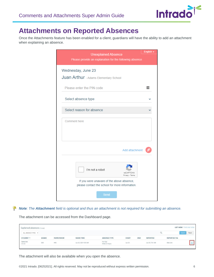

## <span id="page-5-0"></span>**Attachments on Reported Absences**

Once the Attachments feature has been enabled for a client, guardians will have the ability to add an attachment when explaining an absence.

|              | <b>Unexplained Absence</b>                              |                              | English $\sim$ |
|--------------|---------------------------------------------------------|------------------------------|----------------|
|              | Please provide an explanation for the following absence |                              |                |
|              |                                                         |                              |                |
|              |                                                         |                              |                |
|              | Wednesday, June 23                                      |                              |                |
|              | Juan Arthur - Adams Elementary School                   |                              |                |
|              |                                                         |                              |                |
|              | Please enter the PIN code                               |                              | $\cdots$       |
|              |                                                         |                              |                |
|              | Select absence type                                     |                              |                |
|              |                                                         |                              |                |
|              | Select reason for absence                               |                              |                |
|              |                                                         |                              |                |
| Comment here |                                                         |                              |                |
|              |                                                         |                              |                |
|              |                                                         |                              |                |
|              |                                                         |                              |                |
|              |                                                         |                              |                |
|              |                                                         | Add attachment               |                |
|              |                                                         |                              |                |
|              |                                                         |                              |                |
|              | I'm not a robot                                         |                              |                |
|              |                                                         | reCAPTCHA<br>Privacy - Terms |                |
|              | If you were unaware of the above absence,               |                              |                |
|              | please contact the school for more information.         |                              |                |
|              |                                                         |                              |                |
|              | Send                                                    |                              |                |
|              |                                                         |                              |                |

*Note: The Attachment field is optional and thus an attachment is not required for submitting an absence.*

The attachment can be accessed from the Dashboard page.

|                                    | Explained absences (1 total) |                  |                      |                                                    |                         |              |                                          |                     |                 |  |
|------------------------------------|------------------------------|------------------|----------------------|----------------------------------------------------|-------------------------|--------------|------------------------------------------|---------------------|-----------------|--|
| ALL ABSENCE TYPES V                |                              |                  |                      |                                                    |                         |              |                                          |                     | Reset<br>Search |  |
| <b>TORONOMY RADIO</b><br>STUDENT ^ | <b>GRADE</b>                 | <b>HOME ROOM</b> | <b>MARK TIME</b>     | 2002/02/03 2012 2012 2012<br><b>ABSENCE TYPE</b>   | 2222230<br><b>START</b> | 32906<br>END | <b>COUNTRACTATION</b><br><b>REPORTED</b> | <b>REPORTED VIA</b> |                 |  |
| Gene, Eric<br>STU-05               | G05                          | HO5              | Jun 25, 2021 9:35 AM | <b>CONTRACTOR</b><br>Full Day<br>Illness or Injury | Jun 25                  |              | Jun 25, 7:41 AM                          | Web Link            |                 |  |

The attachment will also be available when you open the absence.

©2021 Intrado. [06252021]. All rights reserved. May not be reproduced without express written permission. 6